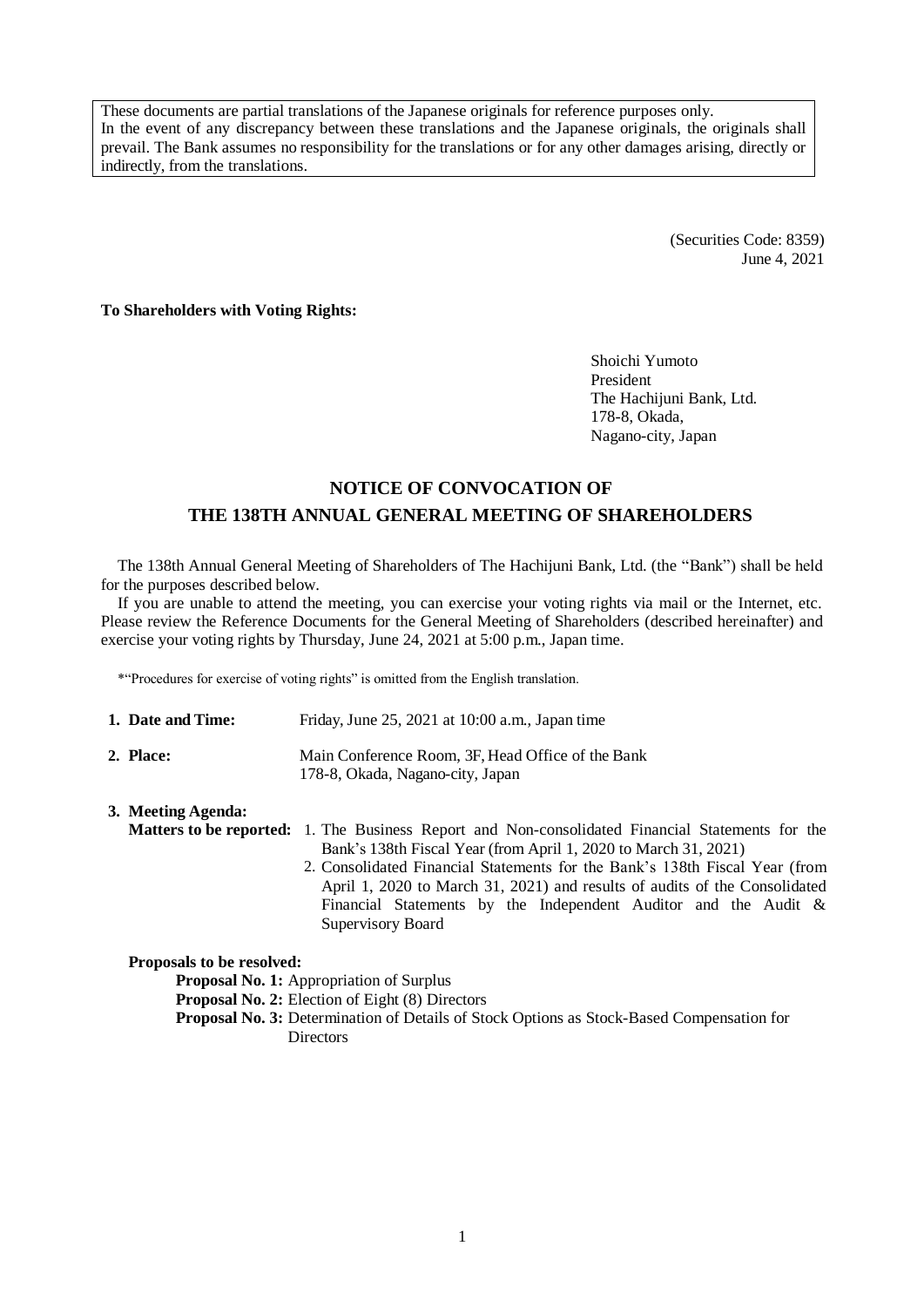These documents are partial translations of the Japanese originals for reference purposes only. In the event of any discrepancy between these translations and the Japanese originals, the originals shall prevail. The Bank assumes no responsibility for the translations or for any other damages arising, directly or indirectly, from the translations.

> (Securities Code: 8359) June 4, 2021

**To Shareholders with Voting Rights:**

Shoichi Yumoto President The Hachijuni Bank, Ltd. 178-8, Okada, Nagano-city, Japan

# **NOTICE OF CONVOCATION OF THE 138TH ANNUAL GENERAL MEETING OF SHAREHOLDERS**

The 138th Annual General Meeting of Shareholders of The Hachijuni Bank, Ltd. (the "Bank") shall be held for the purposes described below.

If you are unable to attend the meeting, you can exercise your voting rights via mail or the Internet, etc. Please review the Reference Documents for the General Meeting of Shareholders (described hereinafter) and exercise your voting rights by Thursday, June 24, 2021 at 5:00 p.m., Japan time.

\*"Procedures for exercise of voting rights" is omitted from the English translation.

| 1. Date and Time: | Friday, June $25$ , $2021$ at $10:00$ a.m., Japan time                                |
|-------------------|---------------------------------------------------------------------------------------|
| 2. Place:         | Main Conference Room. 3F. Head Office of the Bank<br>178-8, Okada, Nagano-city, Japan |

| 3. Meeting Agenda: |                                                                                                         |  |  |  |  |  |
|--------------------|---------------------------------------------------------------------------------------------------------|--|--|--|--|--|
|                    | <b>Matters to be reported:</b> 1. The Business Report and Non-consolidated Financial Statements for the |  |  |  |  |  |
|                    | Bank's 138th Fiscal Year (from April 1, 2020 to March 31, 2021)                                         |  |  |  |  |  |
|                    | 2. Consolidated Financial Statements for the Bank's 138th Fiscal Year (from                             |  |  |  |  |  |
|                    | April 1, 2020 to March 31, 2021) and results of audits of the Consolidated                              |  |  |  |  |  |
|                    | Financial Statements by the Independent Auditor and the Audit &                                         |  |  |  |  |  |
|                    | Supervisory Board                                                                                       |  |  |  |  |  |

**Proposals to be resolved:**

**Proposal No. 1:** Appropriation of Surplus

**Proposal No. 2:** Election of Eight (8) Directors

**Proposal No. 3:** Determination of Details of Stock Options as Stock-Based Compensation for **Directors**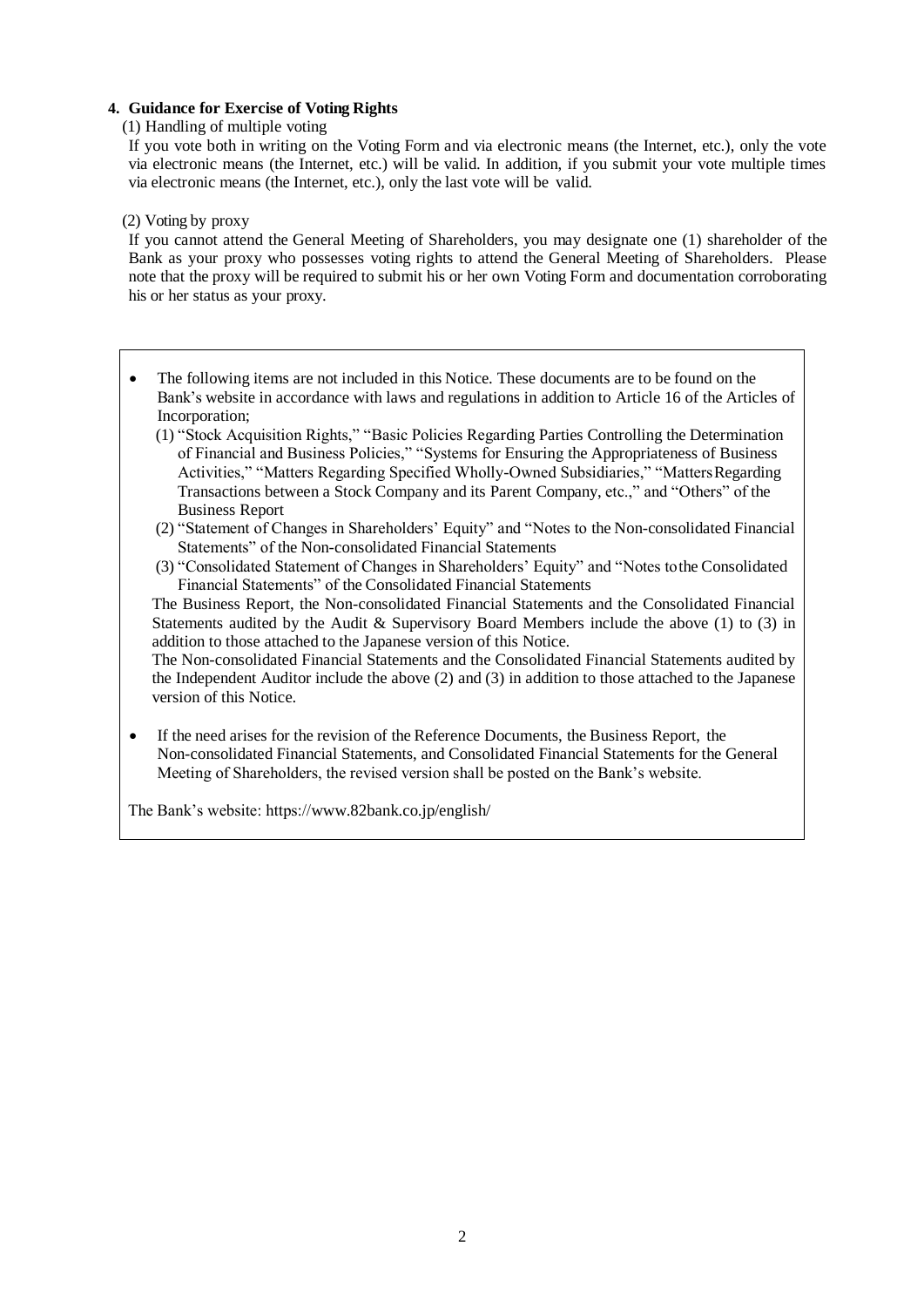## **4. Guidance for Exercise of Voting Rights**

(1) Handling of multiple voting

If you vote both in writing on the Voting Form and via electronic means (the Internet, etc.), only the vote via electronic means (the Internet, etc.) will be valid. In addition, if you submit your vote multiple times via electronic means (the Internet, etc.), only the last vote will be valid.

#### (2) Voting by proxy

If you cannot attend the General Meeting of Shareholders, you may designate one (1) shareholder of the Bank as your proxy who possesses voting rights to attend the General Meeting of Shareholders. Please note that the proxy will be required to submit his or her own Voting Form and documentation corroborating his or her status as your proxy.

- The following items are not included in this Notice. These documents are to be found on the Bank's website in accordance with laws and regulations in addition to Article 16 of the Articles of Incorporation;
	- (1) "Stock Acquisition Rights," "Basic Policies Regarding Parties Controlling the Determination of Financial and Business Policies," "Systems for Ensuring the Appropriateness of Business Activities," "Matters Regarding Specified Wholly-Owned Subsidiaries," "MattersRegarding Transactions between a Stock Company and its Parent Company, etc.," and "Others" of the Business Report
	- (2) "Statement of Changes in Shareholders' Equity" and "Notes to the Non-consolidated Financial Statements" of the Non-consolidated Financial Statements
	- (3) "Consolidated Statement of Changes in Shareholders' Equity" and "Notes tothe Consolidated Financial Statements" of the Consolidated Financial Statements

The Business Report, the Non-consolidated Financial Statements and the Consolidated Financial Statements audited by the Audit & Supervisory Board Members include the above (1) to (3) in addition to those attached to the Japanese version of this Notice.

The Non-consolidated Financial Statements and the Consolidated Financial Statements audited by the Independent Auditor include the above (2) and (3) in addition to those attached to the Japanese version of this Notice.

 If the need arises for the revision of the Reference Documents, the Business Report, the Non-consolidated Financial Statements, and Consolidated Financial Statements for the General Meeting of Shareholders, the revised version shall be posted on the Bank's website.

The Bank's website: https:/[/www.82bank.co.jp/english/](http://www.82bank.co.jp/english/)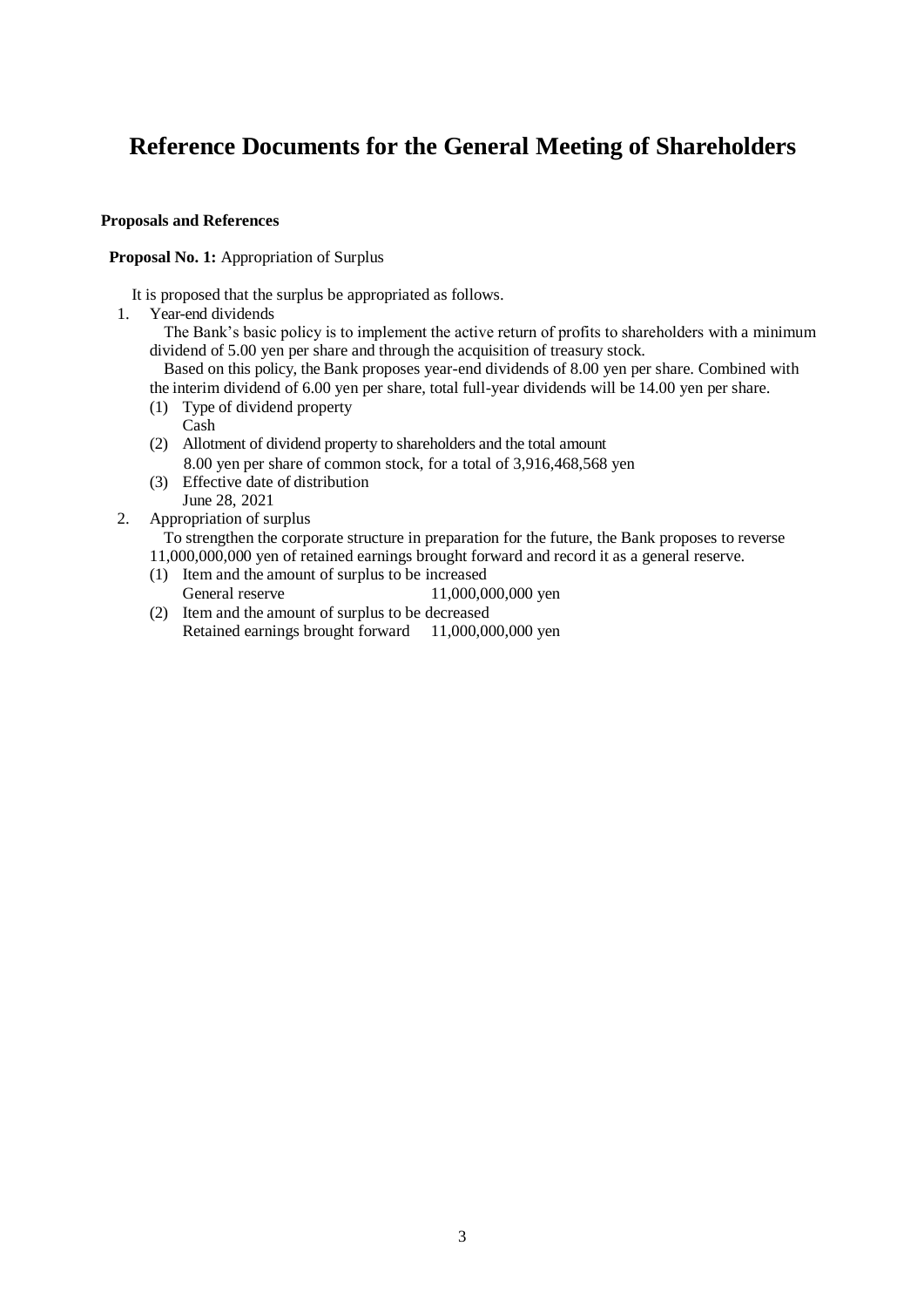# **Reference Documents for the General Meeting of Shareholders**

### **Proposals and References**

**Proposal No. 1:** Appropriation of Surplus

It is proposed that the surplus be appropriated as follows.

1. Year-end dividends

The Bank's basic policy is to implement the active return of profits to shareholders with a minimum dividend of 5.00 yen per share and through the acquisition of treasury stock.

Based on this policy, the Bank proposes year-end dividends of 8.00 yen per share. Combined with

the interim dividend of 6.00 yen per share, total full-year dividends will be 14.00 yen per share.

- (1) Type of dividend property
	- Cash
- (2) Allotment of dividend property to shareholders and the total amount 8.00 yen per share of common stock, for a total of 3,916,468,568 yen
- (3) Effective date of distribution June 28, 2021
- 2. Appropriation of surplus

To strengthen the corporate structure in preparation for the future, the Bank proposes to reverse

11,000,000,000 yen of retained earnings brought forward and record it as a general reserve.

- (1) Item and the amount of surplus to be increased General reserve 11,000,000,000 yen
- (2) Item and the amount of surplus to be decreased Retained earnings brought forward 11,000,000,000 yen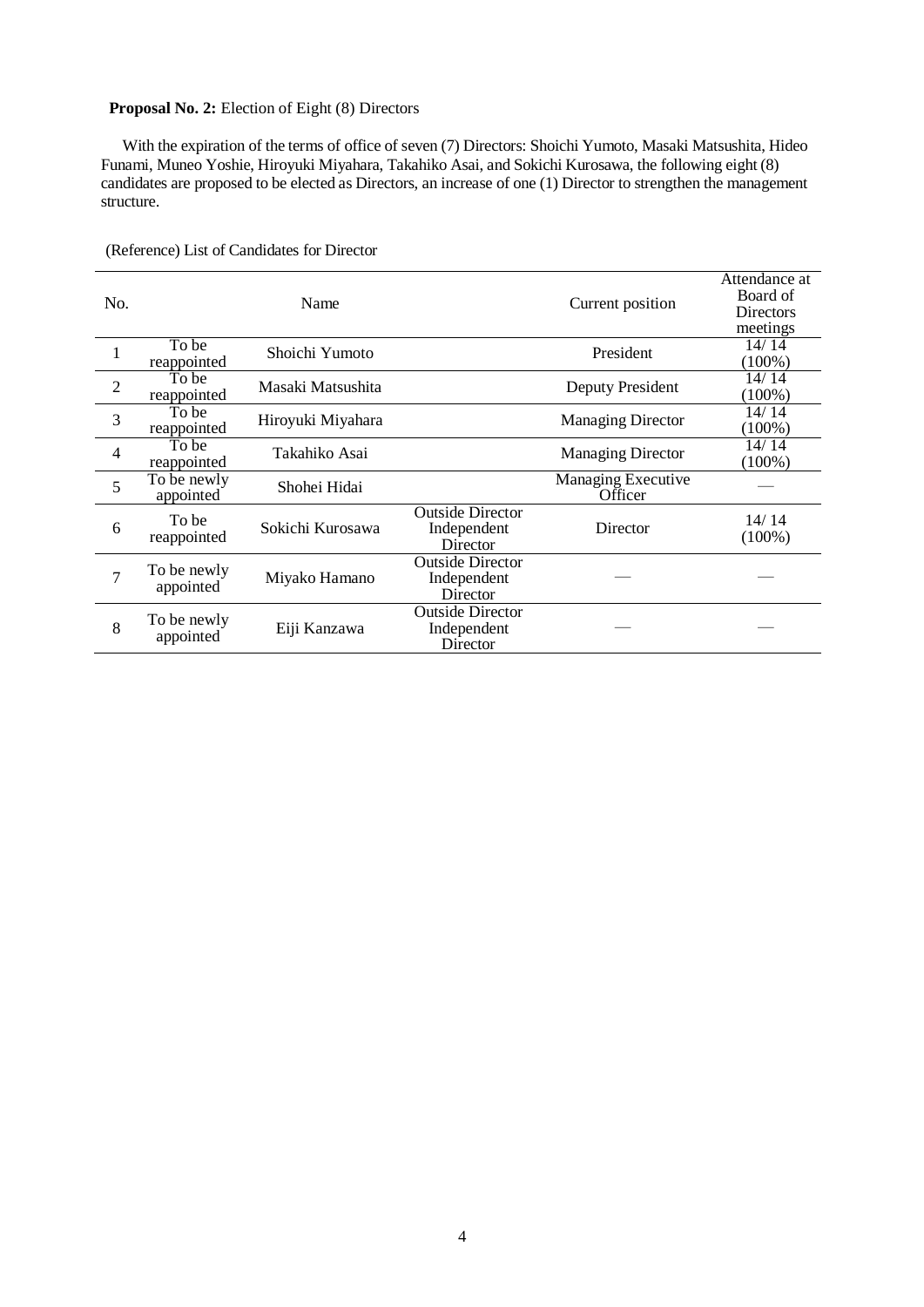## **Proposal No. 2:** Election of Eight (8) Directors

With the expiration of the terms of office of seven (7) Directors: Shoichi Yumoto, Masaki Matsushita, Hideo Funami, Muneo Yoshie, Hiroyuki Miyahara, Takahiko Asai, and Sokichi Kurosawa, the following eight (8) candidates are proposed to be elected as Directors, an increase of one (1) Director to strengthen the management structure.

| No.            |                          | Name              |                                                    | Current position                     | Attendance at<br>Board of<br><b>Directors</b><br>meetings |
|----------------|--------------------------|-------------------|----------------------------------------------------|--------------------------------------|-----------------------------------------------------------|
| 1              | To be<br>reappointed     | Shoichi Yumoto    |                                                    | President                            | 14/14<br>(100%)                                           |
| $\overline{2}$ | To be<br>reappointed     | Masaki Matsushita |                                                    | Deputy President                     | 14/14<br>$(100\%)$                                        |
| 3              | To be<br>reappointed     | Hiroyuki Miyahara |                                                    | <b>Managing Director</b>             | 14/14<br>$(100\%)$                                        |
| 4              | To be<br>reappointed     | Takahiko Asai     |                                                    | <b>Managing Director</b>             | 14/14<br>$(100\%)$                                        |
| 5              | To be newly<br>appointed | Shohei Hidai      |                                                    | <b>Managing Executive</b><br>Officer |                                                           |
| 6              | To be<br>reappointed     | Sokichi Kurosawa  | <b>Outside Director</b><br>Independent<br>Director | Director                             | 14/14<br>$(100\%)$                                        |
| 7              | To be newly<br>appointed | Miyako Hamano     | <b>Outside Director</b><br>Independent<br>Director |                                      |                                                           |
| 8              | To be newly<br>appointed | Eiji Kanzawa      | <b>Outside Director</b><br>Independent<br>Director |                                      |                                                           |

(Reference) List of Candidates for Director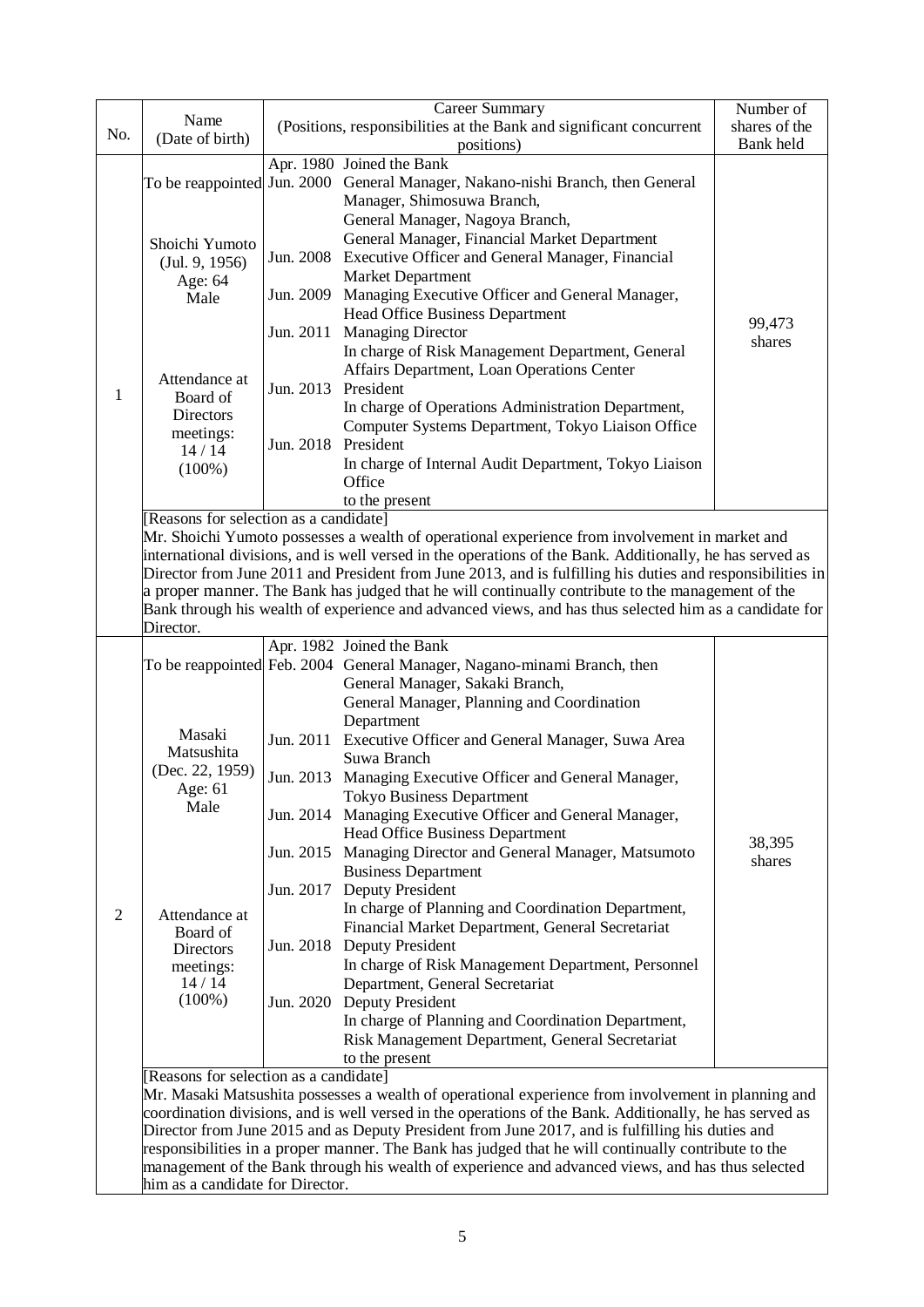| No.            | Name<br>(Date of birth)                                                                                                                                                                                                                                                                                                                                                                                                                                                                                                                                                                         | (Positions, responsibilities at the Bank and significant concurrent                                                                                                                        | Number of<br>shares of the<br>Bank held                                                                                                                                                                                                                                                                             |        |  |  |
|----------------|-------------------------------------------------------------------------------------------------------------------------------------------------------------------------------------------------------------------------------------------------------------------------------------------------------------------------------------------------------------------------------------------------------------------------------------------------------------------------------------------------------------------------------------------------------------------------------------------------|--------------------------------------------------------------------------------------------------------------------------------------------------------------------------------------------|---------------------------------------------------------------------------------------------------------------------------------------------------------------------------------------------------------------------------------------------------------------------------------------------------------------------|--------|--|--|
|                |                                                                                                                                                                                                                                                                                                                                                                                                                                                                                                                                                                                                 | positions)<br>Apr. 1980 Joined the Bank<br>To be reappointed Jun. 2000 General Manager, Nakano-nishi Branch, then General<br>Manager, Shimosuwa Branch,<br>General Manager, Nagoya Branch, |                                                                                                                                                                                                                                                                                                                     |        |  |  |
|                | Shoichi Yumoto<br>(Jul. 9, 1956)<br>Age: 64                                                                                                                                                                                                                                                                                                                                                                                                                                                                                                                                                     |                                                                                                                                                                                            | General Manager, Financial Market Department<br>Jun. 2008 Executive Officer and General Manager, Financial<br>Market Department                                                                                                                                                                                     |        |  |  |
|                | Male                                                                                                                                                                                                                                                                                                                                                                                                                                                                                                                                                                                            |                                                                                                                                                                                            | Jun. 2009 Managing Executive Officer and General Manager,<br>Head Office Business Department                                                                                                                                                                                                                        | 99,473 |  |  |
|                | Attendance at                                                                                                                                                                                                                                                                                                                                                                                                                                                                                                                                                                                   |                                                                                                                                                                                            | Jun. 2011 Managing Director<br>In charge of Risk Management Department, General<br>Affairs Department, Loan Operations Center                                                                                                                                                                                       | shares |  |  |
| 1              | Board of<br><b>Directors</b>                                                                                                                                                                                                                                                                                                                                                                                                                                                                                                                                                                    | Jun. 2013 President                                                                                                                                                                        | In charge of Operations Administration Department,                                                                                                                                                                                                                                                                  |        |  |  |
|                | meetings:<br>14/14                                                                                                                                                                                                                                                                                                                                                                                                                                                                                                                                                                              | Jun. 2018 President                                                                                                                                                                        | Computer Systems Department, Tokyo Liaison Office<br>In charge of Internal Audit Department, Tokyo Liaison                                                                                                                                                                                                          |        |  |  |
|                | $(100\%)$                                                                                                                                                                                                                                                                                                                                                                                                                                                                                                                                                                                       |                                                                                                                                                                                            | Office<br>to the present                                                                                                                                                                                                                                                                                            |        |  |  |
|                | [Reasons for selection as a candidate]<br>Mr. Shoichi Yumoto possesses a wealth of operational experience from involvement in market and<br>international divisions, and is well versed in the operations of the Bank. Additionally, he has served as<br>Director from June 2011 and President from June 2013, and is fulfilling his duties and responsibilities in<br>a proper manner. The Bank has judged that he will continually contribute to the management of the<br>Bank through his wealth of experience and advanced views, and has thus selected him as a candidate for<br>Director. |                                                                                                                                                                                            |                                                                                                                                                                                                                                                                                                                     |        |  |  |
|                |                                                                                                                                                                                                                                                                                                                                                                                                                                                                                                                                                                                                 |                                                                                                                                                                                            | Apr. 1982 Joined the Bank<br>To be reappointed Feb. 2004 General Manager, Nagano-minami Branch, then<br>General Manager, Sakaki Branch,                                                                                                                                                                             |        |  |  |
|                | Masaki<br>Matsushita<br>(Dec. 22, 1959)<br>Age: 61<br>Male                                                                                                                                                                                                                                                                                                                                                                                                                                                                                                                                      |                                                                                                                                                                                            | General Manager, Planning and Coordination<br>Department<br>Jun. 2011 Executive Officer and General Manager, Suwa Area<br>Suwa Branch                                                                                                                                                                               |        |  |  |
|                |                                                                                                                                                                                                                                                                                                                                                                                                                                                                                                                                                                                                 |                                                                                                                                                                                            | Jun. 2013 Managing Executive Officer and General Manager,<br><b>Tokyo Business Department</b>                                                                                                                                                                                                                       |        |  |  |
|                |                                                                                                                                                                                                                                                                                                                                                                                                                                                                                                                                                                                                 |                                                                                                                                                                                            | Jun. 2014 Managing Executive Officer and General Manager,<br><b>Head Office Business Department</b><br>Jun. 2015 Managing Director and General Manager, Matsumoto                                                                                                                                                   | 38,395 |  |  |
|                |                                                                                                                                                                                                                                                                                                                                                                                                                                                                                                                                                                                                 |                                                                                                                                                                                            | <b>Business Department</b><br>Jun. 2017 Deputy President                                                                                                                                                                                                                                                            | shares |  |  |
| $\overline{2}$ | Attendance at<br>Board of<br>Directors                                                                                                                                                                                                                                                                                                                                                                                                                                                                                                                                                          |                                                                                                                                                                                            | In charge of Planning and Coordination Department,<br>Financial Market Department, General Secretariat<br>Jun. 2018 Deputy President                                                                                                                                                                                |        |  |  |
|                | meetings:<br>14/14                                                                                                                                                                                                                                                                                                                                                                                                                                                                                                                                                                              |                                                                                                                                                                                            | In charge of Risk Management Department, Personnel<br>Department, General Secretariat                                                                                                                                                                                                                               |        |  |  |
|                | $(100\%)$                                                                                                                                                                                                                                                                                                                                                                                                                                                                                                                                                                                       |                                                                                                                                                                                            | Jun. 2020 Deputy President<br>In charge of Planning and Coordination Department,<br>Risk Management Department, General Secretariat<br>to the present                                                                                                                                                               |        |  |  |
|                | [Reasons for selection as a candidate]                                                                                                                                                                                                                                                                                                                                                                                                                                                                                                                                                          |                                                                                                                                                                                            | Mr. Masaki Matsushita possesses a wealth of operational experience from involvement in planning and                                                                                                                                                                                                                 |        |  |  |
|                |                                                                                                                                                                                                                                                                                                                                                                                                                                                                                                                                                                                                 |                                                                                                                                                                                            | coordination divisions, and is well versed in the operations of the Bank. Additionally, he has served as<br>Director from June 2015 and as Deputy President from June 2017, and is fulfilling his duties and<br>responsibilities in a proper manner. The Bank has judged that he will continually contribute to the |        |  |  |
|                | him as a candidate for Director.                                                                                                                                                                                                                                                                                                                                                                                                                                                                                                                                                                |                                                                                                                                                                                            | management of the Bank through his wealth of experience and advanced views, and has thus selected                                                                                                                                                                                                                   |        |  |  |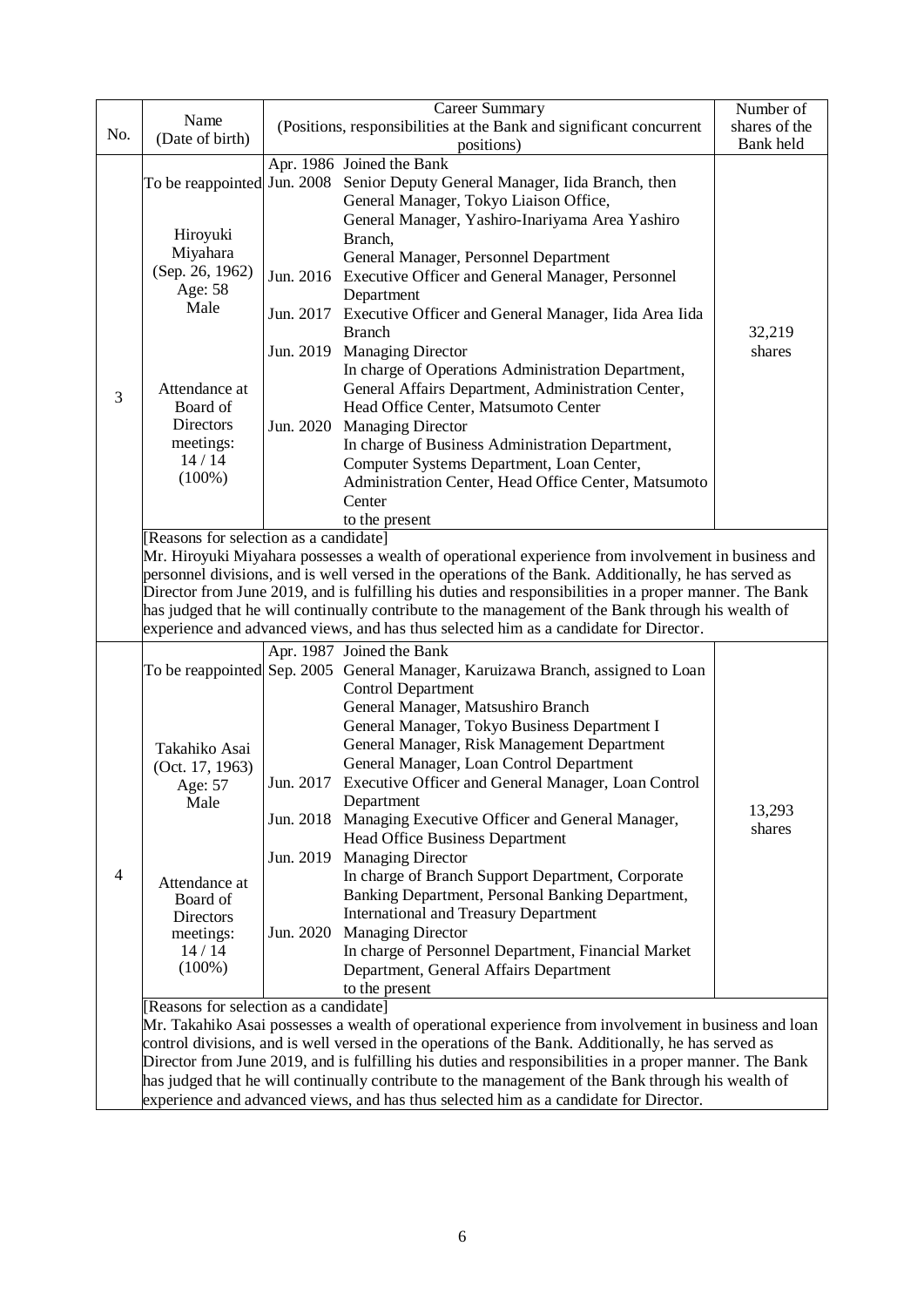|                |                                                                                                         |                                                                                                     | Career Summary                                                                                          | Number of |  |  |  |
|----------------|---------------------------------------------------------------------------------------------------------|-----------------------------------------------------------------------------------------------------|---------------------------------------------------------------------------------------------------------|-----------|--|--|--|
| No.            | Name                                                                                                    | (Positions, responsibilities at the Bank and significant concurrent                                 | shares of the                                                                                           |           |  |  |  |
|                | (Date of birth)                                                                                         |                                                                                                     | Bank held                                                                                               |           |  |  |  |
|                |                                                                                                         |                                                                                                     | positions)<br>Apr. 1986 Joined the Bank                                                                 |           |  |  |  |
|                |                                                                                                         |                                                                                                     | To be reappointed Jun. 2008 Senior Deputy General Manager, Iida Branch, then                            |           |  |  |  |
|                |                                                                                                         |                                                                                                     | General Manager, Tokyo Liaison Office,                                                                  |           |  |  |  |
|                |                                                                                                         |                                                                                                     | General Manager, Yashiro-Inariyama Area Yashiro                                                         |           |  |  |  |
|                | Hiroyuki                                                                                                |                                                                                                     | Branch,                                                                                                 |           |  |  |  |
|                | Miyahara                                                                                                |                                                                                                     | General Manager, Personnel Department                                                                   |           |  |  |  |
|                | (Sep. 26, 1962)                                                                                         |                                                                                                     | Jun. 2016 Executive Officer and General Manager, Personnel                                              |           |  |  |  |
|                | Age: 58                                                                                                 |                                                                                                     | Department                                                                                              |           |  |  |  |
|                | Male                                                                                                    |                                                                                                     | Jun. 2017 Executive Officer and General Manager, Iida Area Iida                                         |           |  |  |  |
|                |                                                                                                         |                                                                                                     | <b>Branch</b>                                                                                           | 32,219    |  |  |  |
|                |                                                                                                         |                                                                                                     | Jun. 2019 Managing Director                                                                             | shares    |  |  |  |
|                |                                                                                                         |                                                                                                     | In charge of Operations Administration Department,                                                      |           |  |  |  |
|                | Attendance at                                                                                           |                                                                                                     | General Affairs Department, Administration Center,                                                      |           |  |  |  |
| 3              | Board of                                                                                                |                                                                                                     | Head Office Center, Matsumoto Center                                                                    |           |  |  |  |
|                | Directors                                                                                               |                                                                                                     | Jun. 2020 Managing Director                                                                             |           |  |  |  |
|                | meetings:                                                                                               |                                                                                                     | In charge of Business Administration Department,                                                        |           |  |  |  |
|                | 14/14                                                                                                   |                                                                                                     | Computer Systems Department, Loan Center,                                                               |           |  |  |  |
|                | $(100\%)$                                                                                               |                                                                                                     | Administration Center, Head Office Center, Matsumoto                                                    |           |  |  |  |
|                |                                                                                                         |                                                                                                     | Center                                                                                                  |           |  |  |  |
|                |                                                                                                         |                                                                                                     | to the present                                                                                          |           |  |  |  |
|                | [Reasons for selection as a candidate]                                                                  |                                                                                                     |                                                                                                         |           |  |  |  |
|                | Mr. Hiroyuki Miyahara possesses a wealth of operational experience from involvement in business and     |                                                                                                     |                                                                                                         |           |  |  |  |
|                | personnel divisions, and is well versed in the operations of the Bank. Additionally, he has served as   |                                                                                                     |                                                                                                         |           |  |  |  |
|                | Director from June 2019, and is fulfilling his duties and responsibilities in a proper manner. The Bank |                                                                                                     |                                                                                                         |           |  |  |  |
|                | has judged that he will continually contribute to the management of the Bank through his wealth of      |                                                                                                     |                                                                                                         |           |  |  |  |
|                |                                                                                                         |                                                                                                     | experience and advanced views, and has thus selected him as a candidate for Director.                   |           |  |  |  |
|                |                                                                                                         |                                                                                                     | Apr. 1987 Joined the Bank                                                                               |           |  |  |  |
|                |                                                                                                         |                                                                                                     | To be reappointed Sep. 2005 General Manager, Karuizawa Branch, assigned to Loan                         |           |  |  |  |
|                |                                                                                                         |                                                                                                     | <b>Control Department</b>                                                                               |           |  |  |  |
|                |                                                                                                         |                                                                                                     | General Manager, Matsushiro Branch                                                                      |           |  |  |  |
|                |                                                                                                         |                                                                                                     | General Manager, Tokyo Business Department I                                                            |           |  |  |  |
|                | Takahiko Asai                                                                                           |                                                                                                     | General Manager, Risk Management Department                                                             |           |  |  |  |
|                | (Oct. 17, 1963)                                                                                         |                                                                                                     | General Manager, Loan Control Department                                                                |           |  |  |  |
|                | Age: 57                                                                                                 |                                                                                                     | Jun. 2017 Executive Officer and General Manager, Loan Control                                           |           |  |  |  |
|                | Male                                                                                                    |                                                                                                     | Department                                                                                              |           |  |  |  |
|                |                                                                                                         |                                                                                                     | Jun. 2018 Managing Executive Officer and General Manager,                                               | 13,293    |  |  |  |
|                |                                                                                                         |                                                                                                     | Head Office Business Department                                                                         | shares    |  |  |  |
|                |                                                                                                         |                                                                                                     | Jun. 2019 Managing Director                                                                             |           |  |  |  |
| $\overline{4}$ | Attendance at                                                                                           |                                                                                                     | In charge of Branch Support Department, Corporate                                                       |           |  |  |  |
|                | Board of                                                                                                |                                                                                                     | Banking Department, Personal Banking Department,                                                        |           |  |  |  |
|                | Directors                                                                                               |                                                                                                     | <b>International and Treasury Department</b>                                                            |           |  |  |  |
|                | meetings:                                                                                               |                                                                                                     | Jun. 2020 Managing Director                                                                             |           |  |  |  |
|                | 14/14                                                                                                   |                                                                                                     | In charge of Personnel Department, Financial Market                                                     |           |  |  |  |
|                | $(100\%)$                                                                                               |                                                                                                     | Department, General Affairs Department                                                                  |           |  |  |  |
|                |                                                                                                         |                                                                                                     | to the present                                                                                          |           |  |  |  |
|                | [Reasons for selection as a candidate]                                                                  |                                                                                                     |                                                                                                         |           |  |  |  |
|                | Mr. Takahiko Asai possesses a wealth of operational experience from involvement in business and loan    |                                                                                                     |                                                                                                         |           |  |  |  |
|                |                                                                                                         | control divisions, and is well versed in the operations of the Bank. Additionally, he has served as |                                                                                                         |           |  |  |  |
|                |                                                                                                         |                                                                                                     | Director from June 2019, and is fulfilling his duties and responsibilities in a proper manner. The Bank |           |  |  |  |
|                | has judged that he will continually contribute to the management of the Bank through his wealth of      |                                                                                                     |                                                                                                         |           |  |  |  |
|                |                                                                                                         |                                                                                                     | experience and advanced views, and has thus selected him as a candidate for Director.                   |           |  |  |  |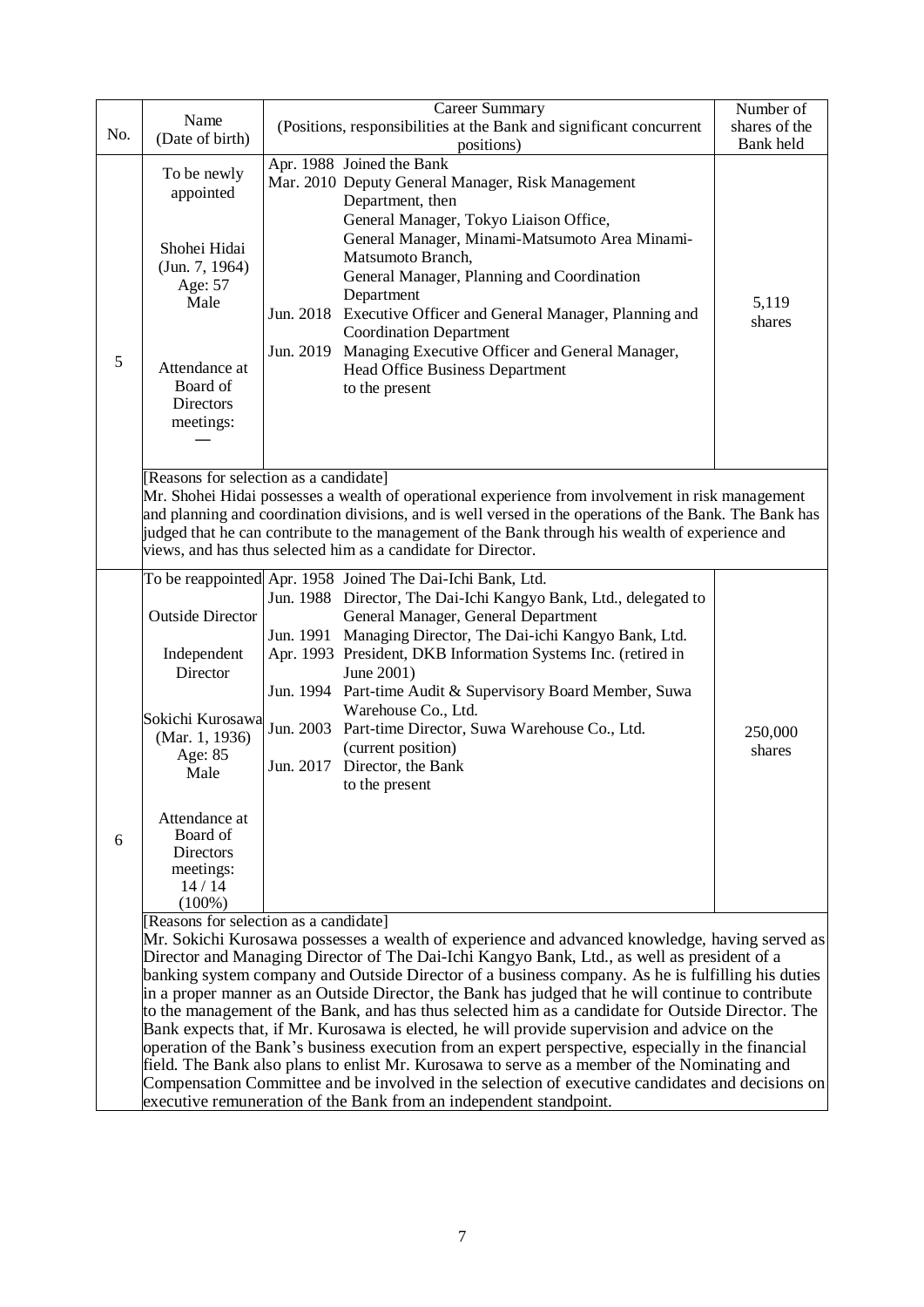| No. | Name<br>(Date of birth)                                                                                                                                                                                                                                                                                                                                                                                                     | Career Summary<br>(Positions, responsibilities at the Bank and significant concurrent<br>positions)                                                                                                                                                                                                                                                                                                                                                                                                                                                                                                                                                                                                                                                                                                                                                                                                                                                                                                                                     | Number of<br>shares of the<br>Bank held |  |  |  |  |
|-----|-----------------------------------------------------------------------------------------------------------------------------------------------------------------------------------------------------------------------------------------------------------------------------------------------------------------------------------------------------------------------------------------------------------------------------|-----------------------------------------------------------------------------------------------------------------------------------------------------------------------------------------------------------------------------------------------------------------------------------------------------------------------------------------------------------------------------------------------------------------------------------------------------------------------------------------------------------------------------------------------------------------------------------------------------------------------------------------------------------------------------------------------------------------------------------------------------------------------------------------------------------------------------------------------------------------------------------------------------------------------------------------------------------------------------------------------------------------------------------------|-----------------------------------------|--|--|--|--|
| 5   | To be newly<br>appointed<br>Shohei Hidai<br>(Jun. 7, 1964)<br>Age: 57<br>Male<br>Attendance at<br>Board of<br><b>Directors</b><br>meetings:                                                                                                                                                                                                                                                                                 | Apr. 1988 Joined the Bank<br>Mar. 2010 Deputy General Manager, Risk Management<br>Department, then<br>General Manager, Tokyo Liaison Office,<br>General Manager, Minami-Matsumoto Area Minami-<br>Matsumoto Branch,<br>General Manager, Planning and Coordination<br>Department<br>Jun. 2018 Executive Officer and General Manager, Planning and<br><b>Coordination Department</b><br>Jun. 2019<br>Managing Executive Officer and General Manager,<br>Head Office Business Department<br>to the present                                                                                                                                                                                                                                                                                                                                                                                                                                                                                                                                 | 5,119<br>shares                         |  |  |  |  |
|     | [Reasons for selection as a candidate]<br>Mr. Shohei Hidai possesses a wealth of operational experience from involvement in risk management<br>and planning and coordination divisions, and is well versed in the operations of the Bank. The Bank has<br>judged that he can contribute to the management of the Bank through his wealth of experience and<br>views, and has thus selected him as a candidate for Director. |                                                                                                                                                                                                                                                                                                                                                                                                                                                                                                                                                                                                                                                                                                                                                                                                                                                                                                                                                                                                                                         |                                         |  |  |  |  |
| 6   | <b>Outside Director</b><br>Independent<br>Director<br>Sokichi Kurosawa<br>(Mar. 1, 1936)<br>Age: 85<br>Male<br>Attendance at<br>Board of<br>Directors<br>meetings:<br>14/14                                                                                                                                                                                                                                                 | To be reappointed Apr. 1958 Joined The Dai-Ichi Bank, Ltd.<br>Jun. 1988 Director, The Dai-Ichi Kangyo Bank, Ltd., delegated to<br>General Manager, General Department<br>Jun. 1991 Managing Director, The Dai-ichi Kangyo Bank, Ltd.<br>Apr. 1993 President, DKB Information Systems Inc. (retired in<br>June 2001)<br>Jun. 1994 Part-time Audit & Supervisory Board Member, Suwa<br>Warehouse Co., Ltd.<br>Jun. 2003 Part-time Director, Suwa Warehouse Co., Ltd.<br>(current position)<br>Jun. 2017 Director, the Bank<br>to the present                                                                                                                                                                                                                                                                                                                                                                                                                                                                                              | 250,000<br>shares                       |  |  |  |  |
|     | $(100\%)$                                                                                                                                                                                                                                                                                                                                                                                                                   | [Reasons for selection as a candidate]<br>Mr. Sokichi Kurosawa possesses a wealth of experience and advanced knowledge, having served as<br>Director and Managing Director of The Dai-Ichi Kangyo Bank, Ltd., as well as president of a<br>banking system company and Outside Director of a business company. As he is fulfilling his duties<br>in a proper manner as an Outside Director, the Bank has judged that he will continue to contribute<br>to the management of the Bank, and has thus selected him as a candidate for Outside Director. The<br>Bank expects that, if Mr. Kurosawa is elected, he will provide supervision and advice on the<br>operation of the Bank's business execution from an expert perspective, especially in the financial<br>field. The Bank also plans to enlist Mr. Kurosawa to serve as a member of the Nominating and<br>Compensation Committee and be involved in the selection of executive candidates and decisions on<br>executive remuneration of the Bank from an independent standpoint. |                                         |  |  |  |  |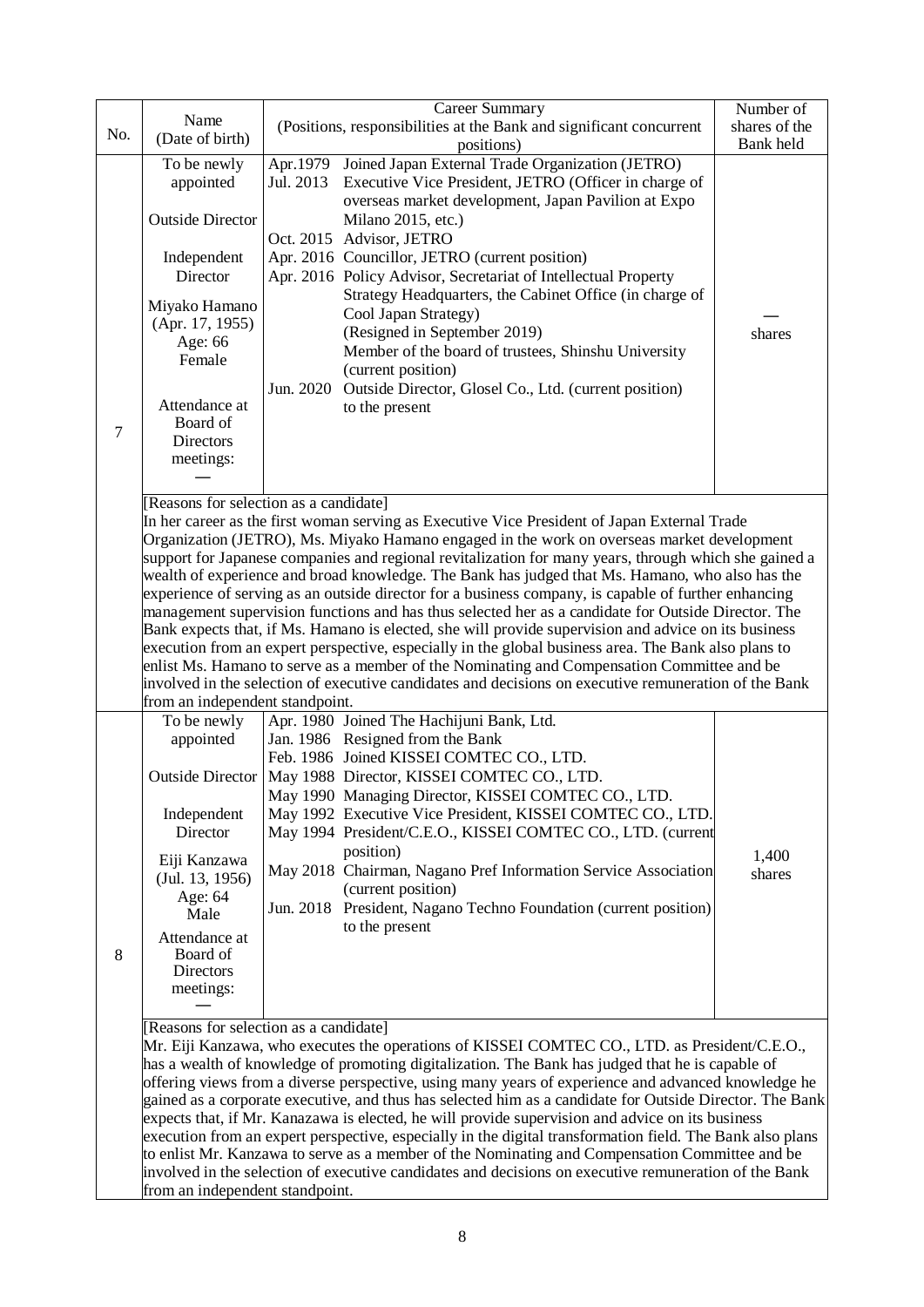|                                 |                                                                                                                                                                                                             | <b>Career Summary</b>                                                                                    | Number of     |  |  |  |  |
|---------------------------------|-------------------------------------------------------------------------------------------------------------------------------------------------------------------------------------------------------------|----------------------------------------------------------------------------------------------------------|---------------|--|--|--|--|
|                                 | Name                                                                                                                                                                                                        | (Positions, responsibilities at the Bank and significant concurrent                                      | shares of the |  |  |  |  |
| No.                             | (Date of birth)                                                                                                                                                                                             | positions)                                                                                               | Bank held     |  |  |  |  |
|                                 | To be newly                                                                                                                                                                                                 | Apr.1979 Joined Japan External Trade Organization (JETRO)                                                |               |  |  |  |  |
|                                 | appointed                                                                                                                                                                                                   | Jul. 2013<br>Executive Vice President, JETRO (Officer in charge of                                       |               |  |  |  |  |
|                                 |                                                                                                                                                                                                             | overseas market development, Japan Pavilion at Expo                                                      |               |  |  |  |  |
|                                 | <b>Outside Director</b>                                                                                                                                                                                     | Milano 2015, etc.)                                                                                       |               |  |  |  |  |
|                                 |                                                                                                                                                                                                             | Oct. 2015 Advisor, JETRO                                                                                 |               |  |  |  |  |
|                                 |                                                                                                                                                                                                             |                                                                                                          |               |  |  |  |  |
|                                 | Independent                                                                                                                                                                                                 | Apr. 2016 Councillor, JETRO (current position)                                                           |               |  |  |  |  |
|                                 | Director                                                                                                                                                                                                    | Apr. 2016 Policy Advisor, Secretariat of Intellectual Property                                           |               |  |  |  |  |
|                                 | Miyako Hamano                                                                                                                                                                                               | Strategy Headquarters, the Cabinet Office (in charge of                                                  |               |  |  |  |  |
|                                 | (Apr. 17, 1955)                                                                                                                                                                                             | Cool Japan Strategy)                                                                                     |               |  |  |  |  |
|                                 | Age: 66                                                                                                                                                                                                     | (Resigned in September 2019)                                                                             | shares        |  |  |  |  |
|                                 | Female                                                                                                                                                                                                      | Member of the board of trustees, Shinshu University                                                      |               |  |  |  |  |
|                                 |                                                                                                                                                                                                             | (current position)                                                                                       |               |  |  |  |  |
|                                 |                                                                                                                                                                                                             | Outside Director, Glosel Co., Ltd. (current position)<br>Jun. 2020                                       |               |  |  |  |  |
|                                 | Attendance at                                                                                                                                                                                               | to the present                                                                                           |               |  |  |  |  |
| 7                               | Board of                                                                                                                                                                                                    |                                                                                                          |               |  |  |  |  |
|                                 | Directors                                                                                                                                                                                                   |                                                                                                          |               |  |  |  |  |
|                                 | meetings:                                                                                                                                                                                                   |                                                                                                          |               |  |  |  |  |
|                                 |                                                                                                                                                                                                             |                                                                                                          |               |  |  |  |  |
|                                 |                                                                                                                                                                                                             | [Reasons for selection as a candidate]                                                                   |               |  |  |  |  |
|                                 |                                                                                                                                                                                                             | In her career as the first woman serving as Executive Vice President of Japan External Trade             |               |  |  |  |  |
|                                 | Organization (JETRO), Ms. Miyako Hamano engaged in the work on overseas market development                                                                                                                  |                                                                                                          |               |  |  |  |  |
|                                 |                                                                                                                                                                                                             | support for Japanese companies and regional revitalization for many years, through which she gained a    |               |  |  |  |  |
|                                 | wealth of experience and broad knowledge. The Bank has judged that Ms. Hamano, who also has the                                                                                                             |                                                                                                          |               |  |  |  |  |
|                                 |                                                                                                                                                                                                             | experience of serving as an outside director for a business company, is capable of further enhancing     |               |  |  |  |  |
|                                 | management supervision functions and has thus selected her as a candidate for Outside Director. The                                                                                                         |                                                                                                          |               |  |  |  |  |
|                                 |                                                                                                                                                                                                             | Bank expects that, if Ms. Hamano is elected, she will provide supervision and advice on its business     |               |  |  |  |  |
|                                 |                                                                                                                                                                                                             | execution from an expert perspective, especially in the global business area. The Bank also plans to     |               |  |  |  |  |
|                                 |                                                                                                                                                                                                             | enlist Ms. Hamano to serve as a member of the Nominating and Compensation Committee and be               |               |  |  |  |  |
|                                 | involved in the selection of executive candidates and decisions on executive remuneration of the Bank                                                                                                       |                                                                                                          |               |  |  |  |  |
| from an independent standpoint. |                                                                                                                                                                                                             |                                                                                                          |               |  |  |  |  |
|                                 | To be newly                                                                                                                                                                                                 | Apr. 1980 Joined The Hachijuni Bank, Ltd.                                                                |               |  |  |  |  |
|                                 | appointed                                                                                                                                                                                                   | Jan. 1986 Resigned from the Bank                                                                         |               |  |  |  |  |
|                                 |                                                                                                                                                                                                             | Feb. 1986 Joined KISSEI COMTEC CO., LTD.                                                                 |               |  |  |  |  |
|                                 |                                                                                                                                                                                                             | Outside Director   May 1988 Director, KISSEI COMTEC CO., LTD.                                            |               |  |  |  |  |
|                                 |                                                                                                                                                                                                             | May 1990 Managing Director, KISSEI COMTEC CO., LTD.                                                      |               |  |  |  |  |
|                                 | Independent                                                                                                                                                                                                 | May 1992 Executive Vice President, KISSEI COMTEC CO., LTD.                                               |               |  |  |  |  |
|                                 | Director                                                                                                                                                                                                    | May 1994 President/C.E.O., KISSEI COMTEC CO., LTD. (current                                              |               |  |  |  |  |
|                                 |                                                                                                                                                                                                             | position)                                                                                                | 1,400         |  |  |  |  |
|                                 | Eiji Kanzawa<br>(Jul. 13, 1956)                                                                                                                                                                             | May 2018 Chairman, Nagano Pref Information Service Association                                           | shares        |  |  |  |  |
|                                 |                                                                                                                                                                                                             | (current position)                                                                                       |               |  |  |  |  |
|                                 | Age: 64<br>Male                                                                                                                                                                                             | Jun. 2018 President, Nagano Techno Foundation (current position)                                         |               |  |  |  |  |
|                                 |                                                                                                                                                                                                             | to the present                                                                                           |               |  |  |  |  |
|                                 | Attendance at                                                                                                                                                                                               |                                                                                                          |               |  |  |  |  |
| 8                               | Board of                                                                                                                                                                                                    |                                                                                                          |               |  |  |  |  |
|                                 | Directors                                                                                                                                                                                                   |                                                                                                          |               |  |  |  |  |
|                                 | meetings:                                                                                                                                                                                                   |                                                                                                          |               |  |  |  |  |
|                                 |                                                                                                                                                                                                             |                                                                                                          |               |  |  |  |  |
|                                 |                                                                                                                                                                                                             | [Reasons for selection as a candidate]                                                                   |               |  |  |  |  |
|                                 |                                                                                                                                                                                                             | Mr. Eiji Kanzawa, who executes the operations of KISSEI COMTEC CO., LTD. as President/C.E.O.,            |               |  |  |  |  |
|                                 |                                                                                                                                                                                                             | has a wealth of knowledge of promoting digitalization. The Bank has judged that he is capable of         |               |  |  |  |  |
|                                 |                                                                                                                                                                                                             | offering views from a diverse perspective, using many years of experience and advanced knowledge he      |               |  |  |  |  |
|                                 |                                                                                                                                                                                                             | gained as a corporate executive, and thus has selected him as a candidate for Outside Director. The Bank |               |  |  |  |  |
|                                 | expects that, if Mr. Kanazawa is elected, he will provide supervision and advice on its business                                                                                                            |                                                                                                          |               |  |  |  |  |
|                                 | execution from an expert perspective, especially in the digital transformation field. The Bank also plans<br>to enlist Mr. Kanzawa to serve as a member of the Nominating and Compensation Committee and be |                                                                                                          |               |  |  |  |  |
|                                 |                                                                                                                                                                                                             |                                                                                                          |               |  |  |  |  |
|                                 |                                                                                                                                                                                                             | involved in the selection of executive candidates and decisions on executive remuneration of the Bank    |               |  |  |  |  |
| from an independent standpoint. |                                                                                                                                                                                                             |                                                                                                          |               |  |  |  |  |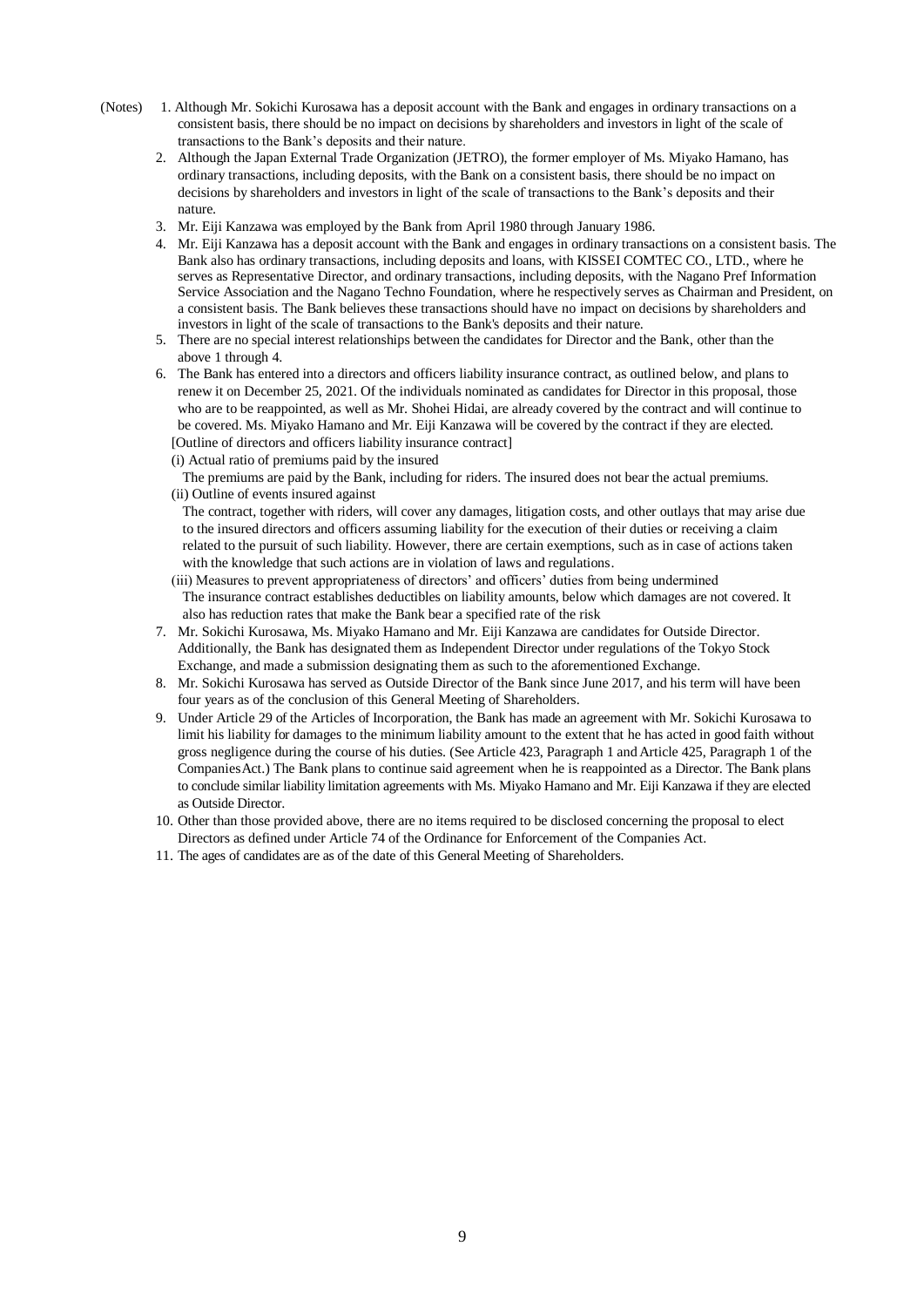- (Notes) 1. Although Mr. Sokichi Kurosawa has a deposit account with the Bank and engages in ordinary transactions on a consistent basis, there should be no impact on decisions by shareholders and investors in light of the scale of transactions to the Bank's deposits and their nature.
	- 2. Although the Japan External Trade Organization (JETRO), the former employer of Ms. Miyako Hamano, has ordinary transactions, including deposits, with the Bank on a consistent basis, there should be no impact on decisions by shareholders and investors in light of the scale of transactions to the Bank's deposits and their nature.
	- 3. Mr. Eiji Kanzawa was employed by the Bank from April 1980 through January 1986.
	- 4. Mr. Eiji Kanzawa has a deposit account with the Bank and engages in ordinary transactions on a consistent basis. The Bank also has ordinary transactions, including deposits and loans, with KISSEI COMTEC CO., LTD., where he serves as Representative Director, and ordinary transactions, including deposits, with the Nagano Pref Information Service Association and the Nagano Techno Foundation, where he respectively serves as Chairman and President, on a consistent basis. The Bank believes these transactions should have no impact on decisions by shareholders and investors in light of the scale of transactions to the Bank's deposits and their nature.
	- 5. There are no special interest relationships between the candidates for Director and the Bank, other than the above 1 through 4.
	- 6. The Bank has entered into a directors and officers liability insurance contract, as outlined below, and plans to renew it on December 25, 2021. Of the individuals nominated as candidates for Director in this proposal, those who are to be reappointed, as well as Mr. Shohei Hidai, are already covered by the contract and will continue to be covered. Ms. Miyako Hamano and Mr. Eiji Kanzawa will be covered by the contract if they are elected. [Outline of directors and officers liability insurance contract]

(i) Actual ratio of premiums paid by the insured

The premiums are paid by the Bank, including for riders. The insured does not bear the actual premiums.

(ii) Outline of events insured against

The contract, together with riders, will cover any damages, litigation costs, and other outlays that may arise due to the insured directors and officers assuming liability for the execution of their duties or receiving a claim related to the pursuit of such liability. However, there are certain exemptions, such as in case of actions taken with the knowledge that such actions are in violation of laws and regulations.

- (iii) Measures to prevent appropriateness of directors' and officers' duties from being undermined The insurance contract establishes deductibles on liability amounts, below which damages are not covered. It also has reduction rates that make the Bank bear a specified rate of the risk
- 7. Mr. Sokichi Kurosawa, Ms. Miyako Hamano and Mr. Eiji Kanzawa are candidates for Outside Director. Additionally, the Bank has designated them as Independent Director under regulations of the Tokyo Stock Exchange, and made a submission designating them as such to the aforementioned Exchange.
- 8. Mr. Sokichi Kurosawa has served as Outside Director of the Bank since June 2017, and his term will have been four years as of the conclusion of this General Meeting of Shareholders.
- 9. Under Article 29 of the Articles of Incorporation, the Bank has made an agreement with Mr. Sokichi Kurosawa to limit his liability for damages to the minimum liability amount to the extent that he has acted in good faith without gross negligence during the course of his duties. (See Article 423, Paragraph 1 and Article 425, Paragraph 1 of the CompaniesAct.) The Bank plans to continue said agreement when he is reappointed as a Director. The Bank plans to conclude similar liability limitation agreements with Ms. Miyako Hamano and Mr. Eiji Kanzawa if they are elected as Outside Director.
- 10. Other than those provided above, there are no items required to be disclosed concerning the proposal to elect Directors as defined under Article 74 of the Ordinance for Enforcement of the Companies Act.
- 11. The ages of candidates are as of the date of this General Meeting of Shareholders.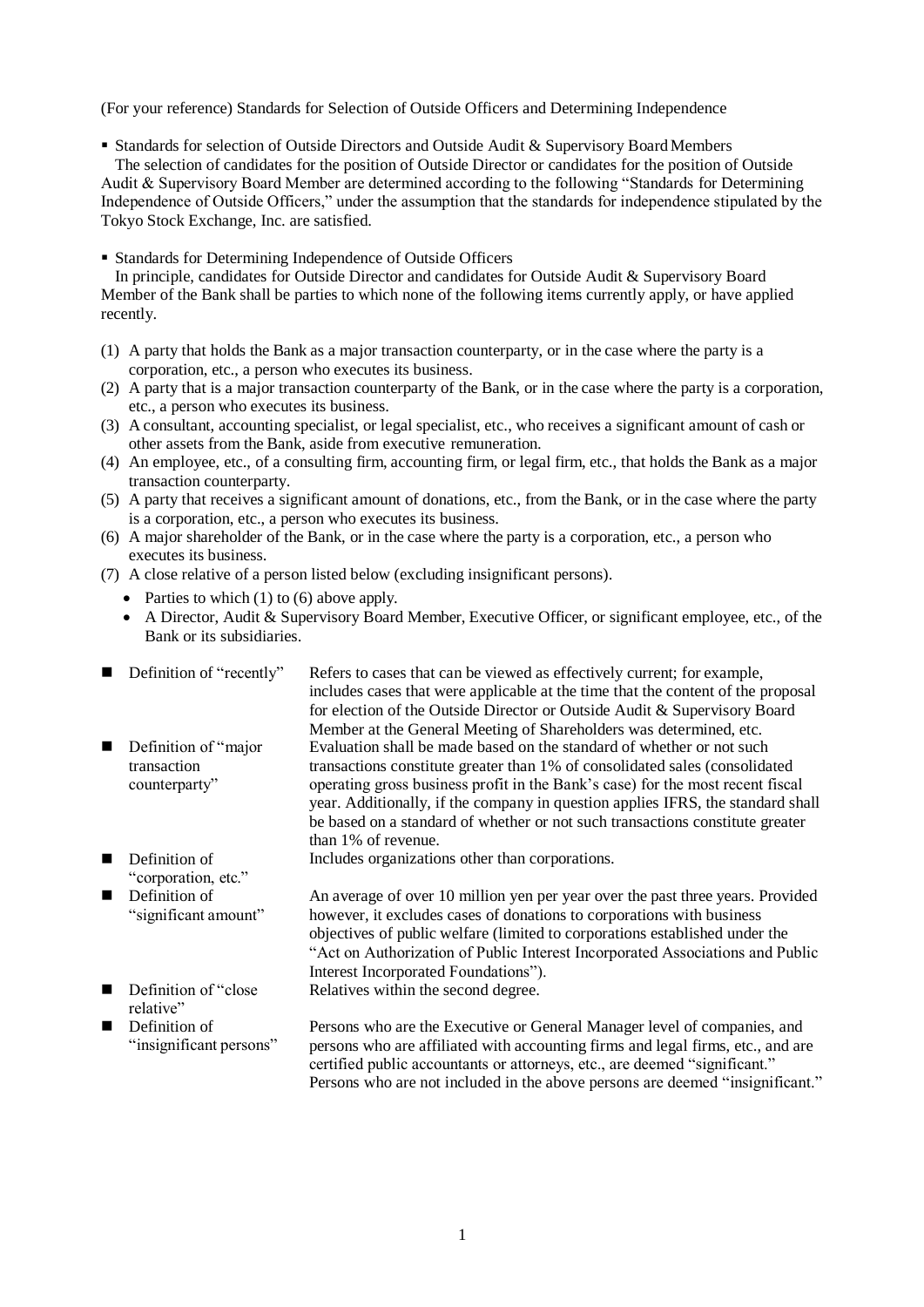(For your reference) Standards for Selection of Outside Officers and Determining Independence

■ Standards for selection of Outside Directors and Outside Audit & Supervisory Board Members

The selection of candidates for the position of Outside Director or candidates for the position of Outside Audit & Supervisory Board Member are determined according to the following "Standards for Determining Independence of Outside Officers," under the assumption that the standards for independence stipulated by the Tokyo Stock Exchange, Inc. are satisfied.

Standards for Determining Independence of Outside Officers

In principle, candidates for Outside Director and candidates for Outside Audit & Supervisory Board Member of the Bank shall be parties to which none of the following items currently apply, or have applied recently.

- (1) A party that holds the Bank as a major transaction counterparty, or in the case where the party is a corporation, etc., a person who executes its business.
- (2) A party that is a major transaction counterparty of the Bank, or in the case where the party is a corporation, etc., a person who executes its business.
- (3) A consultant, accounting specialist, or legal specialist, etc., who receives a significant amount of cash or other assets from the Bank, aside from executive remuneration.
- (4) An employee, etc., of a consulting firm, accounting firm, or legal firm, etc., that holds the Bank as a major transaction counterparty.
- (5) A party that receives a significant amount of donations, etc., from the Bank, or in the case where the party is a corporation, etc., a person who executes its business.
- (6) A major shareholder of the Bank, or in the case where the party is a corporation, etc., a person who executes its business.
- (7) A close relative of a person listed below (excluding insignificant persons).
	- Parties to which  $(1)$  to  $(6)$  above apply.

Definition of

relative"

 A Director, Audit & Supervisory Board Member, Executive Officer, or significant employee, etc., of the Bank or its subsidiaries.

|                | Definition of "recently"             | Refers to cases that can be viewed as effectively current; for example,<br>includes cases that were applicable at the time that the content of the proposal<br>for election of the Outside Director or Outside Audit & Supervisory Board           |
|----------------|--------------------------------------|----------------------------------------------------------------------------------------------------------------------------------------------------------------------------------------------------------------------------------------------------|
|                |                                      | Member at the General Meeting of Shareholders was determined, etc.                                                                                                                                                                                 |
| $\blacksquare$ | Definition of "major"<br>transaction | Evaluation shall be made based on the standard of whether or not such<br>transactions constitute greater than 1% of consolidated sales (consolidated                                                                                               |
|                | counterparty"                        | operating gross business profit in the Bank's case) for the most recent fiscal<br>year. Additionally, if the company in question applies IFRS, the standard shall<br>be based on a standard of whether or not such transactions constitute greater |
|                |                                      | than 1% of revenue.                                                                                                                                                                                                                                |
| $\blacksquare$ | Definition of<br>"corporation, etc." | Includes organizations other than corporations.                                                                                                                                                                                                    |

"significant amount" Definition of "close An average of over 10 million yen per year over the past three years. Provided however, it excludes cases of donations to corporations with business objectives of public welfare (limited to corporations established under the "Act on Authorization of Public Interest Incorporated Associations and Public Interest Incorporated Foundations").

Relatives within the second degree.

 Definition of "insignificant persons" Persons who are the Executive or General Manager level of companies, and persons who are affiliated with accounting firms and legal firms, etc., and are certified public accountants or attorneys, etc., are deemed "significant." Persons who are not included in the above persons are deemed "insignificant."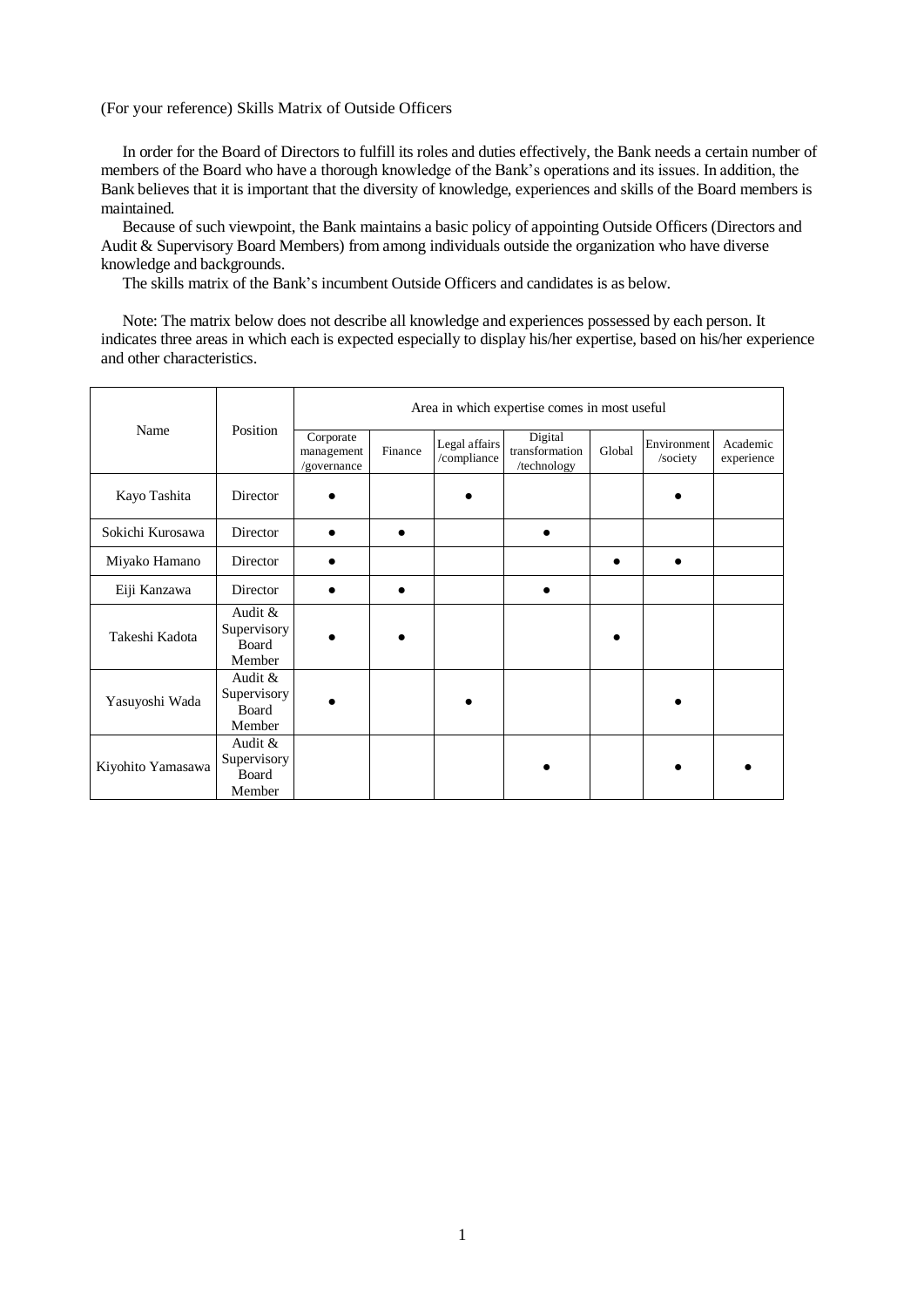#### (For your reference) Skills Matrix of Outside Officers

In order for the Board of Directors to fulfill its roles and duties effectively, the Bank needs a certain number of members of the Board who have a thorough knowledge of the Bank's operations and its issues. In addition, the Bank believes that it is important that the diversity of knowledge, experiences and skills of the Board members is maintained.

Because of such viewpoint, the Bank maintains a basic policy of appointing Outside Officers (Directors and Audit & Supervisory Board Members) from among individuals outside the organization who have diverse knowledge and backgrounds.

The skills matrix of the Bank's incumbent Outside Officers and candidates is as below.

Note: The matrix below does not describe all knowledge and experiences possessed by each person. It indicates three areas in which each is expected especially to display his/her expertise, based on his/her experience and other characteristics.

|                   | Position                                    | Area in which expertise comes in most useful |         |                              |                                          |        |                         |                        |
|-------------------|---------------------------------------------|----------------------------------------------|---------|------------------------------|------------------------------------------|--------|-------------------------|------------------------|
| Name              |                                             | Corporate<br>management<br>/governance       | Finance | Legal affairs<br>/compliance | Digital<br>transformation<br>/technology | Global | Environment<br>/society | Academic<br>experience |
| Kayo Tashita      | Director                                    |                                              |         |                              |                                          |        |                         |                        |
| Sokichi Kurosawa  | Director                                    |                                              |         |                              |                                          |        |                         |                        |
| Miyako Hamano     | Director                                    |                                              |         |                              |                                          |        |                         |                        |
| Eiji Kanzawa      | Director                                    |                                              |         |                              |                                          |        |                         |                        |
| Takeshi Kadota    | Audit $&$<br>Supervisory<br>Board<br>Member |                                              |         |                              |                                          |        |                         |                        |
| Yasuyoshi Wada    | Audit $&$<br>Supervisory<br>Board<br>Member |                                              |         |                              |                                          |        |                         |                        |
| Kiyohito Yamasawa | Audit $&$<br>Supervisory<br>Board<br>Member |                                              |         |                              |                                          |        |                         |                        |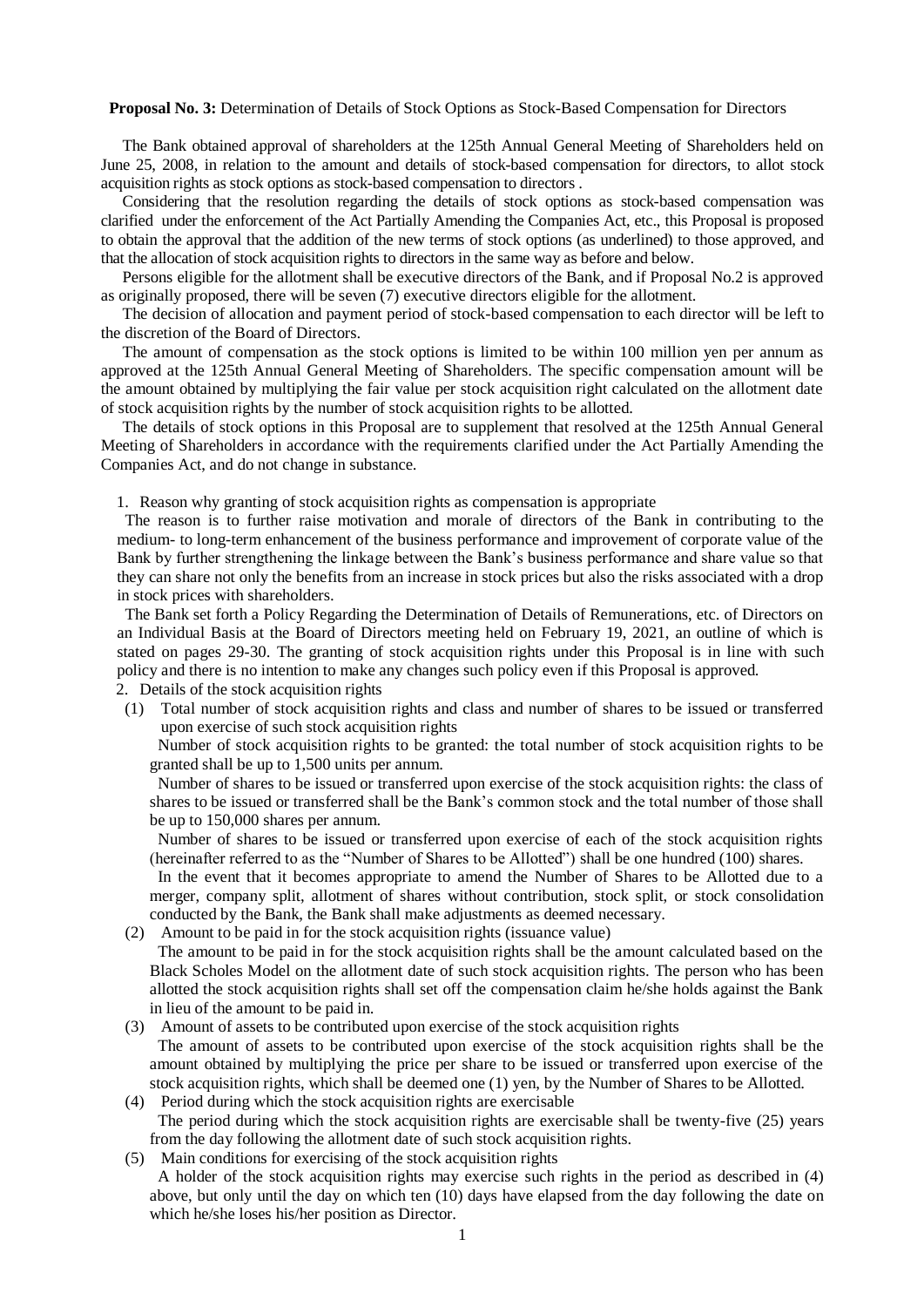#### **Proposal No. 3:** Determination of Details of Stock Options as Stock-Based Compensation for Directors

The Bank obtained approval of shareholders at the 125th Annual General Meeting of Shareholders held on June 25, 2008, in relation to the amount and details of stock-based compensation for directors, to allot stock acquisition rights as stock options as stock-based compensation to directors .

Considering that the resolution regarding the details of stock options as stock-based compensation was clarified under the enforcement of the Act Partially Amending the Companies Act, etc., this Proposal is proposed to obtain the approval that the addition of the new terms of stock options (as underlined) to those approved, and that the allocation of stock acquisition rights to directors in the same way as before and below.

Persons eligible for the allotment shall be executive directors of the Bank, and if Proposal No.2 is approved as originally proposed, there will be seven (7) executive directors eligible for the allotment.

The decision of allocation and payment period of stock-based compensation to each director will be left to the discretion of the Board of Directors.

The amount of compensation as the stock options is limited to be within 100 million yen per annum as approved at the 125th Annual General Meeting of Shareholders. The specific compensation amount will be the amount obtained by multiplying the fair value per stock acquisition right calculated on the allotment date of stock acquisition rights by the number of stock acquisition rights to be allotted.

The details of stock options in this Proposal are to supplement that resolved at the 125th Annual General Meeting of Shareholders in accordance with the requirements clarified under the Act Partially Amending the Companies Act, and do not change in substance.

1. Reason why granting of stock acquisition rights as compensation is appropriate

The reason is to further raise motivation and morale of directors of the Bank in contributing to the medium- to long-term enhancement of the business performance and improvement of corporate value of the Bank by further strengthening the linkage between the Bank's business performance and share value so that they can share not only the benefits from an increase in stock prices but also the risks associated with a drop in stock prices with shareholders.

The Bank set forth a Policy Regarding the Determination of Details of Remunerations, etc. of Directors on an Individual Basis at the Board of Directors meeting held on February 19, 2021, an outline of which is stated on pages 29-30. The granting of stock acquisition rights under this Proposal is in line with such policy and there is no intention to make any changes such policy even if this Proposal is approved.

2. Details of the stock acquisition rights

(1) Total number of stock acquisition rights and class and number of shares to be issued or transferred upon exercise of such stock acquisition rights

Number of stock acquisition rights to be granted: the total number of stock acquisition rights to be granted shall be up to 1,500 units per annum.

Number of shares to be issued or transferred upon exercise of the stock acquisition rights: the class of shares to be issued or transferred shall be the Bank's common stock and the total number of those shall be up to 150,000 shares per annum.

Number of shares to be issued or transferred upon exercise of each of the stock acquisition rights (hereinafter referred to as the "Number of Shares to be Allotted") shall be one hundred (100) shares.

In the event that it becomes appropriate to amend the Number of Shares to be Allotted due to a merger, company split, allotment of shares without contribution, stock split, or stock consolidation conducted by the Bank, the Bank shall make adjustments as deemed necessary.

(2) Amount to be paid in for the stock acquisition rights (issuance value)

The amount to be paid in for the stock acquisition rights shall be the amount calculated based on the Black Scholes Model on the allotment date of such stock acquisition rights. The person who has been allotted the stock acquisition rights shall set off the compensation claim he/she holds against the Bank in lieu of the amount to be paid in.

- (3) Amount of assets to be contributed upon exercise of the stock acquisition rights The amount of assets to be contributed upon exercise of the stock acquisition rights shall be the amount obtained by multiplying the price per share to be issued or transferred upon exercise of the stock acquisition rights, which shall be deemed one (1) yen, by the Number of Shares to be Allotted.
- (4) Period during which the stock acquisition rights are exercisable The period during which the stock acquisition rights are exercisable shall be twenty-five (25) years from the day following the allotment date of such stock acquisition rights.
- (5) Main conditions for exercising of the stock acquisition rights

A holder of the stock acquisition rights may exercise such rights in the period as described in (4) above, but only until the day on which ten (10) days have elapsed from the day following the date on which he/she loses his/her position as Director.